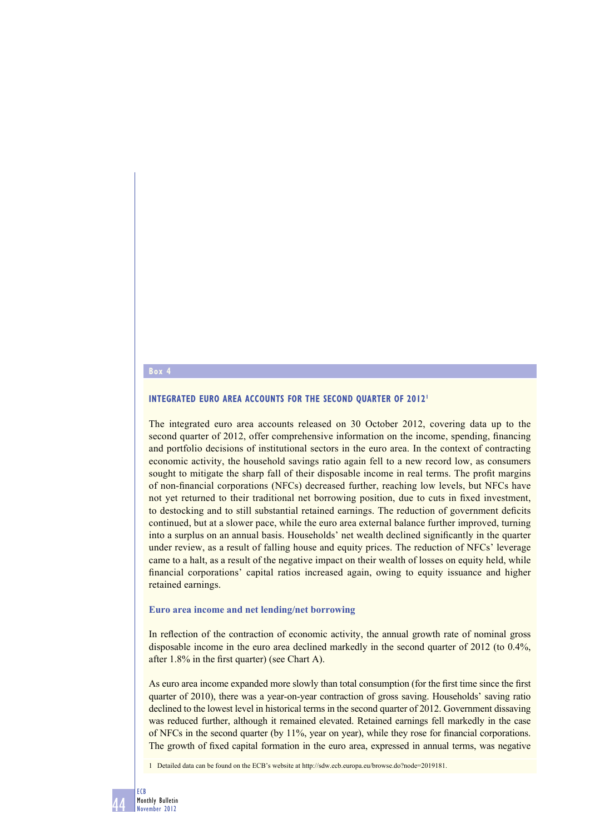## **Box 4**

# **INTEGRATED EURO AREA ACCOUNTS FOR THE SECOND QUARTER OF 2012<sup>1</sup>**

The integrated euro area accounts released on 30 October 2012, covering data up to the second quarter of 2012, offer comprehensive information on the income, spending, financing and portfolio decisions of institutional sectors in the euro area. In the context of contracting economic activity, the household savings ratio again fell to a new record low, as consumers sought to mitigate the sharp fall of their disposable income in real terms. The profit margins of non-financial corporations (NFCs) decreased further, reaching low levels, but NFCs have not yet returned to their traditional net borrowing position, due to cuts in fixed investment, to destocking and to still substantial retained earnings. The reduction of government deficits continued, but at a slower pace, while the euro area external balance further improved, turning into a surplus on an annual basis. Households' net wealth declined significantly in the quarter under review, as a result of falling house and equity prices. The reduction of NFCs' leverage came to a halt, as a result of the negative impact on their wealth of losses on equity held, while financial corporations' capital ratios increased again, owing to equity issuance and higher retained earnings.

#### **Euro area income and net lending/net borrowing**

In reflection of the contraction of economic activity, the annual growth rate of nominal gross disposable income in the euro area declined markedly in the second quarter of 2012 (to 0.4%, after  $1.8\%$  in the first quarter) (see Chart A).

As euro area income expanded more slowly than total consumption (for the first time since the first quarter of 2010), there was a year-on-year contraction of gross saving. Households' saving ratio declined to the lowest level in historical terms in the second quarter of 2012. Government dissaving was reduced further, although it remained elevated. Retained earnings fell markedly in the case of NFCs in the second quarter (by  $11\%$ , year on year), while they rose for financial corporations. The growth of fixed capital formation in the euro area, expressed in annual terms, was negative

1 Detailed data can be found on the ECB's website at http://sdw.ecb.europa.eu/browse.do?node=2019181.

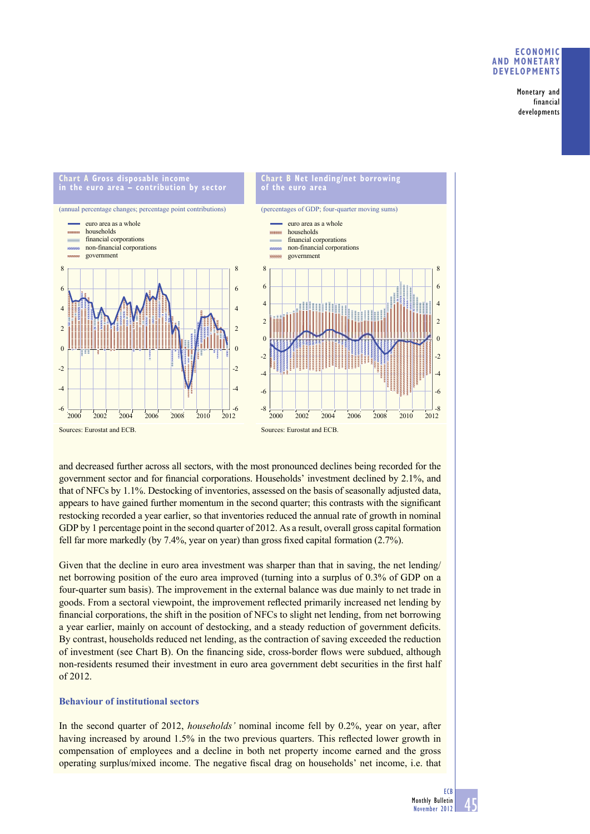## **ECONOMIC AND MONETARY DEVELOPMENTS**

Monetary and financial developments



and decreased further across all sectors, with the most pronounced declines being recorded for the government sector and for financial corporations. Households' investment declined by 2.1%, and that of NFCs by 1.1%. Destocking of inventories, assessed on the basis of seasonally adjusted data, appears to have gained further momentum in the second quarter; this contrasts with the significant restocking recorded a year earlier, so that inventories reduced the annual rate of growth in nominal GDP by 1 percentage point in the second quarter of 2012. As a result, overall gross capital formation fell far more markedly (by 7.4%, year on year) than gross fixed capital formation (2.7%).

Given that the decline in euro area investment was sharper than that in saving, the net lending/ net borrowing position of the euro area improved (turning into a surplus of 0.3% of GDP on a four-quarter sum basis). The improvement in the external balance was due mainly to net trade in goods. From a sectoral viewpoint, the improvement reflected primarily increased net lending by financial corporations, the shift in the position of NFCs to slight net lending, from net borrowing a year earlier, mainly on account of destocking, and a steady reduction of government deficits. By contrast, households reduced net lending, as the contraction of saving exceeded the reduction of investment (see Chart B). On the financing side, cross-border flows were subdued, although non-residents resumed their investment in euro area government debt securities in the first half of 2012.

# **Behaviour of institutional sectors**

In the second quarter of 2012, *households'* nominal income fell by 0.2%, year on year, after having increased by around 1.5% in the two previous quarters. This reflected lower growth in compensation of employees and a decline in both net property income earned and the gross operating surplus/mixed income. The negative fiscal drag on households' net income, i.e. that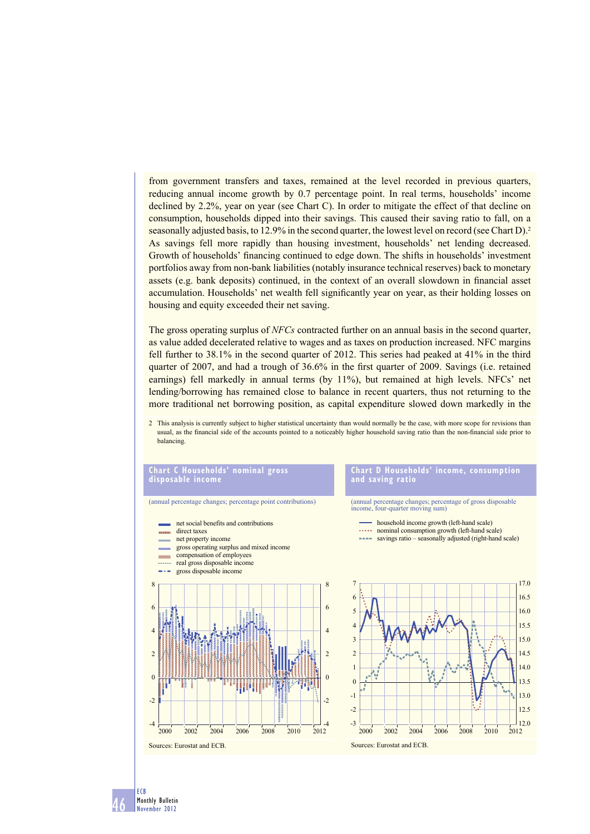from government transfers and taxes, remained at the level recorded in previous quarters, reducing annual income growth by 0.7 percentage point. In real terms, households' income declined by 2.2%, year on year (see Chart C). In order to mitigate the effect of that decline on consumption, households dipped into their savings. This caused their saving ratio to fall, on a seasonally adjusted basis, to 12.9% in the second quarter, the lowest level on record (see Chart D).<sup>2</sup> As savings fell more rapidly than housing investment, households' net lending decreased. Growth of households' financing continued to edge down. The shifts in households' investment portfolios away from non-bank liabilities (notably insurance technical reserves) back to monetary assets (e.g. bank deposits) continued, in the context of an overall slowdown in financial asset accumulation. Households' net wealth fell significantly year on year, as their holding losses on housing and equity exceeded their net saving.

The gross operating surplus of *NFCs* contracted further on an annual basis in the second quarter, as value added decelerated relative to wages and as taxes on production increased. NFC margins fell further to 38.1% in the second quarter of 2012. This series had peaked at 41% in the third quarter of 2007, and had a trough of  $36.6\%$  in the first quarter of 2009. Savings (i.e. retained earnings) fell markedly in annual terms (by 11%), but remained at high levels. NFCs' net lending/borrowing has remained close to balance in recent quarters, thus not returning to the more traditional net borrowing position, as capital expenditure slowed down markedly in the

2 This analysis is currently subject to higher statistical uncertainty than would normally be the case, with more scope for revisions than usual, as the financial side of the accounts pointed to a noticeably higher household saving ratio than the non-financial side prior to balancing.

## **Chart C Households' nominal gross disposable income**

(annual percentage changes; percentage point contributions)

net social benefits and contributions direct taxes **Internet** net property income gross operating surplus and mixed income compensation of employees real gross disposable income gross disposable income 8 8 6 6 4 4 2 2  $\Omega$  $\Omega$ -2 -2  $-4$ 2012 2000 2002 2004 2006 2008 2010 2012 Sources: Eurostat and ECB.

#### **Chart D Households' income, consumption and saving ratio**

(annual percentage changes; percentage of gross disposable income, four-quarter moving sum)

- household income growth (left-hand scale)
- nominal consumption growth (left-hand scale)
- **savings ratio** seasonally adjusted (right-hand scale)



46 ECB Monthly Bulletin November 2012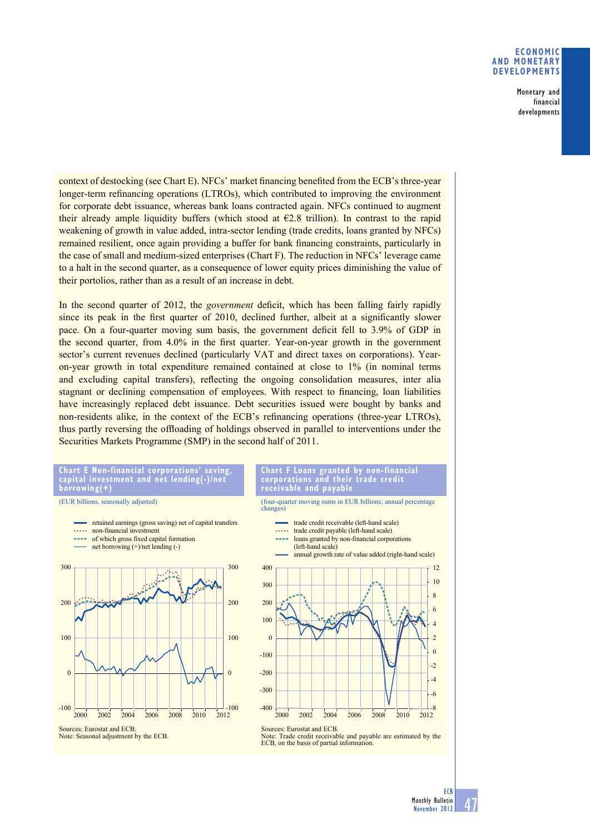## **ECONOMIC AND MONETARY DEVELOPMENTS**

Monetary and financial developments

context of destocking (see Chart E). NFCs' market financing benefited from the ECB's three-year longer-term refinancing operations (LTROs), which contributed to improving the environment for corporate debt issuance, whereas bank loans contracted again. NFCs continued to augment their already ample liquidity buffers (which stood at  $E2.8$  trillion). In contrast to the rapid weakening of growth in value added, intra-sector lending (trade credits, loans granted by NFCs) remained resilient, once again providing a buffer for bank financing constraints, particularly in the case of small and medium-sized enterprises (Chart F). The reduction in NFCs' leverage came to a halt in the second quarter, as a consequence of lower equity prices diminishing the value of their portolios, rather than as a result of an increase in debt.

In the second quarter of 2012, the *government* deficit, which has been falling fairly rapidly since its peak in the first quarter of 2010, declined further, albeit at a significantly slower pace. On a four-quarter moving sum basis, the government deficit fell to 3.9% of GDP in the second quarter, from  $4.0\%$  in the first quarter. Year-on-year growth in the government sector's current revenues declined (particularly VAT and direct taxes on corporations). Yearon-year growth in total expenditure remained contained at close to 1% (in nominal terms and excluding capital transfers), reflecting the ongoing consolidation measures, inter alia stagnant or declining compensation of employees. With respect to financing, loan liabilities have increasingly replaced debt issuance. Debt securities issued were bought by banks and non-residents alike, in the context of the ECB's refinancing operations (three-year LTROs), thus partly reversing the offloading of holdings observed in parallel to interventions under the Securities Markets Programme (SMP) in the second half of 2011.



(EUR billions, seasonally adjusted)









Note: Trade credit receivable and payable are estimated by the ECB, on the basis of partial information.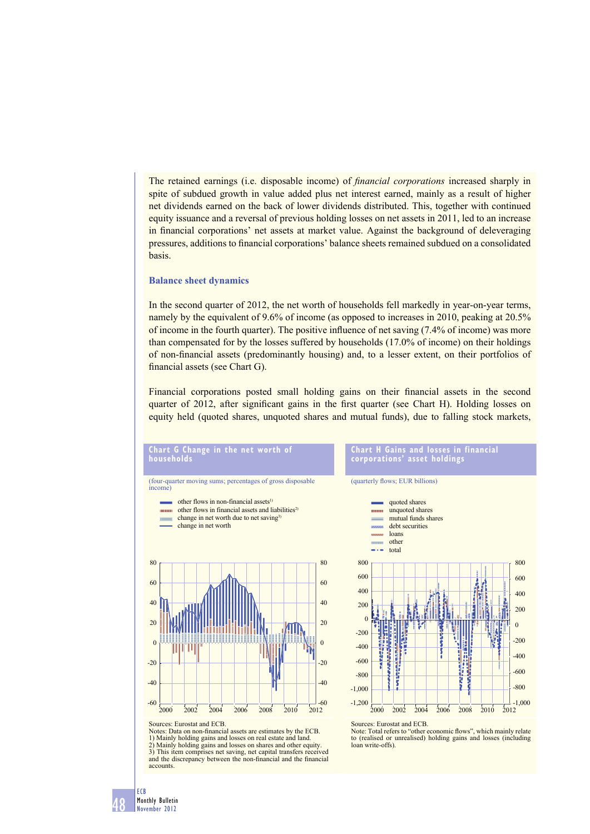The retained earnings (i.e. disposable income) of *financial corporations* increased sharply in spite of subdued growth in value added plus net interest earned, mainly as a result of higher net dividends earned on the back of lower dividends distributed. This, together with continued equity issuance and a reversal of previous holding losses on net assets in 2011, led to an increase in financial corporations' net assets at market value. Against the background of deleveraging pressures, additions to financial corporations' balance sheets remained subdued on a consolidated basis.

#### **Balance sheet dynamics**

**Chart G Change in the net worth of** 

**households**

In the second quarter of 2012, the net worth of households fell markedly in year-on-year terms, namely by the equivalent of 9.6% of income (as opposed to increases in 2010, peaking at 20.5% of income in the fourth quarter). The positive influence of net saving  $(7.4\%$  of income) was more than compensated for by the losses suffered by households (17.0% of income) on their holdings of non-fi nancial assets (predominantly housing) and, to a lesser extent, on their portfolios of financial assets (see Chart G).

Financial corporations posted small holding gains on their financial assets in the second quarter of 2012, after significant gains in the first quarter (see Chart H). Holding losses on equity held (quoted shares, unquoted shares and mutual funds), due to falling stock markets,



Notes: Data on non-financial assets are estimates by the ECB. 1) Mainly holding gains and losses on real estate and land. 2) Mainly holding gains and losses on shares and other equity. 3) This item comprises net saving, net capital transfers received



**Chart H Gains and losses in financial** 

**corporations' asset holdings**

Sources: Eurostat and ECB.

Note: Total refers to "other economic flows", which mainly relate to (realised or unrealised) holding gains and losses (including loan write-offs).

48

ECB Monthly Bulletin November 2012